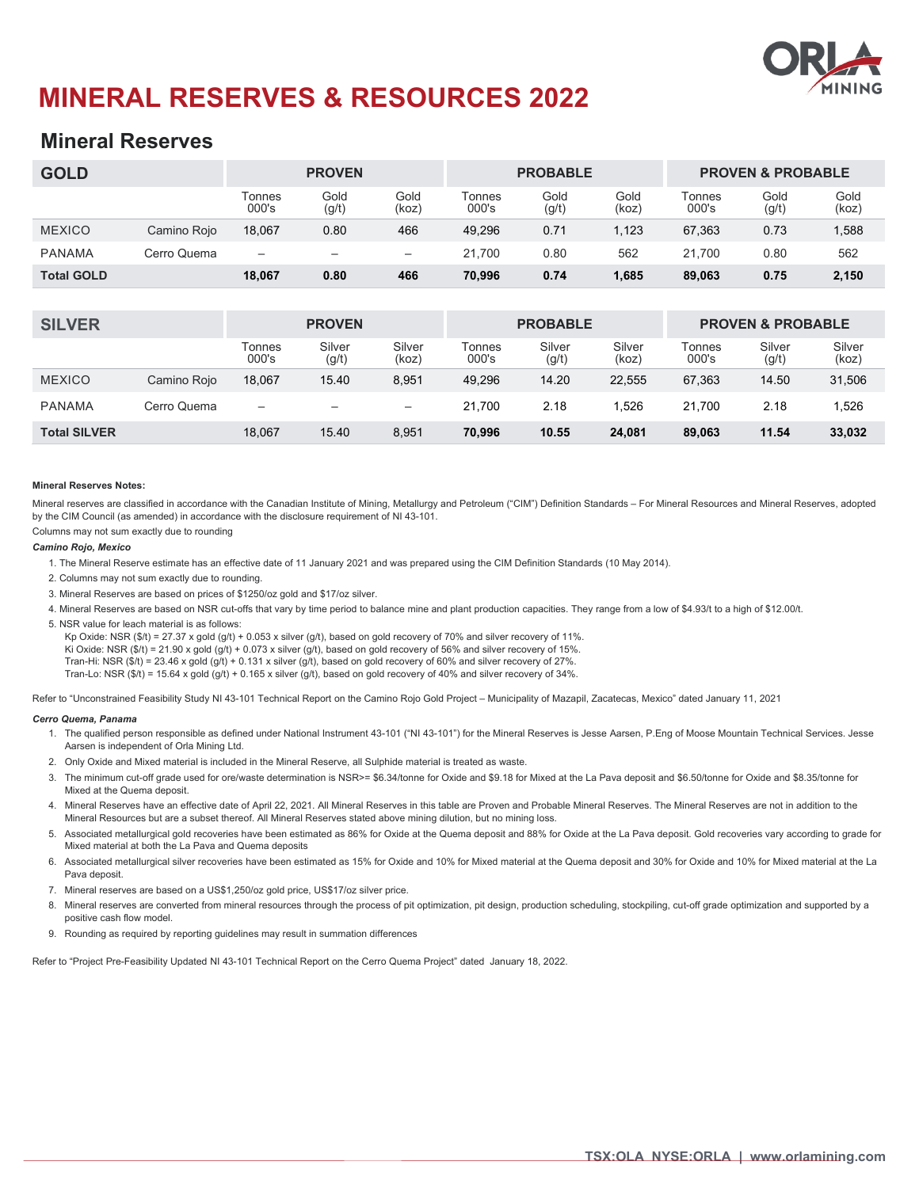

# **MINERAL RESERVES & RESOURCES 2022**

### **Mineral Reserves**

| <b>GOLD</b>       |             | <b>PROVEN</b>            |               |               |                 | <b>PROBABLE</b> |               | <b>PROVEN &amp; PROBABLE</b> |               |               |  |
|-------------------|-------------|--------------------------|---------------|---------------|-----------------|-----------------|---------------|------------------------------|---------------|---------------|--|
|                   |             | Tonnes<br>000's          | Gold<br>(g/t) | Gold<br>(koz` | Tonnes<br>000's | Gold<br>(g/t)   | Gold<br>(koz` | Tonnes<br>000's              | Gold<br>(g/t) | Gold<br>(koz) |  |
| <b>MEXICO</b>     | Camino Rojo | 18.067                   | 0.80          | 466           | 49.296          | 0.71            | 1.123         | 67.363                       | 0.73          | 1,588         |  |
| <b>PANAMA</b>     | Cerro Quema | $\overline{\phantom{m}}$ |               |               | 21.700          | 0.80            | 562           | 21.700                       | 0.80          | 562           |  |
| <b>Total GOLD</b> |             | 18.067                   | 0.80          | 466           | 70.996          | 0.74            | 1,685         | 89,063                       | 0.75          | 2,150         |  |

| <b>SILVER</b>       |             | <b>PROVEN</b>   |                          |                 |                        | <b>PROBABLE</b> |                 | <b>PROVEN &amp; PROBABLE</b> |                 |                 |  |
|---------------------|-------------|-----------------|--------------------------|-----------------|------------------------|-----------------|-----------------|------------------------------|-----------------|-----------------|--|
|                     |             | Tonnes<br>000's | Silver<br>(g/t)          | Silver<br>(koz) | <b>Fonnes</b><br>000's | Silver<br>(g/t) | Silver<br>(koz) | Tonnes<br>000's              | Silver<br>(g/t) | Silver<br>(koz) |  |
| <b>MEXICO</b>       | Camino Roio | 18.067          | 15.40                    | 8,951           | 49,296                 | 14.20           | 22.555          | 67,363                       | 14.50           | 31,506          |  |
| <b>PANAMA</b>       | Cerro Quema |                 | $\overline{\phantom{m}}$ |                 | 21.700                 | 2.18            | .526            | 21.700                       | 2.18            | 1,526           |  |
| <b>Total SILVER</b> |             | 18.067          | 15.40                    | 8,951           | 70,996                 | 10.55           | 24,081          | 89,063                       | 11.54           | 33,032          |  |

### **Mineral Reserves Notes:**

Mineral reserves are classified in accordance with the Canadian Institute of Mining, Metallurgy and Petroleum ("CIM") Definition Standards - For Mineral Resources and Mineral Reserves, adopted by the CIM Council (as amended) in accordance with the disclosure requirement of NI 43-101.

Columns may not sum exactly due to rounding

### *Camino Rojo, Mexico*

1. The Mineral Reserve estimate has an effective date of 11 January 2021 and was prepared using the CIM Definition Standards (10 May 2014).

- 2. Columns may not sum exactly due to rounding.
- 3. Mineral Reserves are based on prices of \$1250/oz gold and \$17/oz silver.
- 4. Mineral Reserves are based on NSR cut-offs that vary by time period to balance mine and plant production capacities. They range from a low of \$4.93/t to a high of \$12.00/t.
- 5. NSR value for leach material is as follows:

Kp Oxide: NSR (\$/t) = 27.37 x gold (g/t) + 0.053 x silver (g/t), based on gold recovery of 70% and silver recovery of 11%. Ki Oxide: NSR (\$/t) = 21.90 x gold (g/t) + 0.073 x silver (g/t), based on gold recovery of 56% and silver recovery of 15%. Tran-Hi: NSR (\$/t) = 23.46 x gold (g/t) + 0.131 x silver (g/t), based on gold recovery of 60% and silver recovery of 27%. Tran-Lo: NSR (\$/t) = 15.64 x gold (g/t) + 0.165 x silver (g/t), based on gold recovery of 40% and silver recovery of 34%.

Refer to "Unconstrained Feasibility Study NI 43-101 Technical Report on the Camino Rojo Gold Project – Municipality of Mazapil, Zacatecas, Mexico" dated January 11, 2021

### *Cerro Quema, Panama*

- 1. The qualified person responsible as defined under National Instrument 43-101 ("NI 43-101") for the Mineral Reserves is Jesse Aarsen, P.Eng of Moose Mountain Technical Services. Jesse Aarsen is independent of Orla Mining Ltd.
- 2. Only Oxide and Mixed material is included in the Mineral Reserve, all Sulphide material is treated as waste.
- 3. The minimum cut-off grade used for ore/waste determination is NSR>= \$6.34/tonne for Oxide and \$9.18 for Mixed at the La Pava deposit and \$6.50/tonne for Oxide and \$8.35/tonne for Mixed at the Quema deposit.
- 4. Mineral Reserves have an effective date of April 22, 2021. All Mineral Reserves in this table are Proven and Probable Mineral Reserves. The Mineral Reserves are not in addition to the Mineral Resources but are a subset thereof. All Mineral Reserves stated above mining dilution, but no mining loss.
- 5. Associated metallurgical gold recoveries have been estimated as 86% for Oxide at the Quema deposit and 88% for Oxide at the La Pava deposit. Gold recoveries vary according to grade for Mixed material at both the La Pava and Quema deposits
- 6. Associated metallurgical silver recoveries have been estimated as 15% for Oxide and 10% for Mixed material at the Quema deposit and 30% for Oxide and 10% for Mixed material at the La Pava deposit.
- 7. Mineral reserves are based on a US\$1,250/oz gold price, US\$17/oz silver price.
- 8. Mineral reserves are converted from mineral resources through the process of pit optimization, pit design, production scheduling, stockpiling, cut-off grade optimization and supported by a positive cash flow model.
- 9. Rounding as required by reporting guidelines may result in summation differences

Refer to "Project Pre-Feasibility Updated NI 43-101 Technical Report on the Cerro Quema Project" dated January 18, 2022.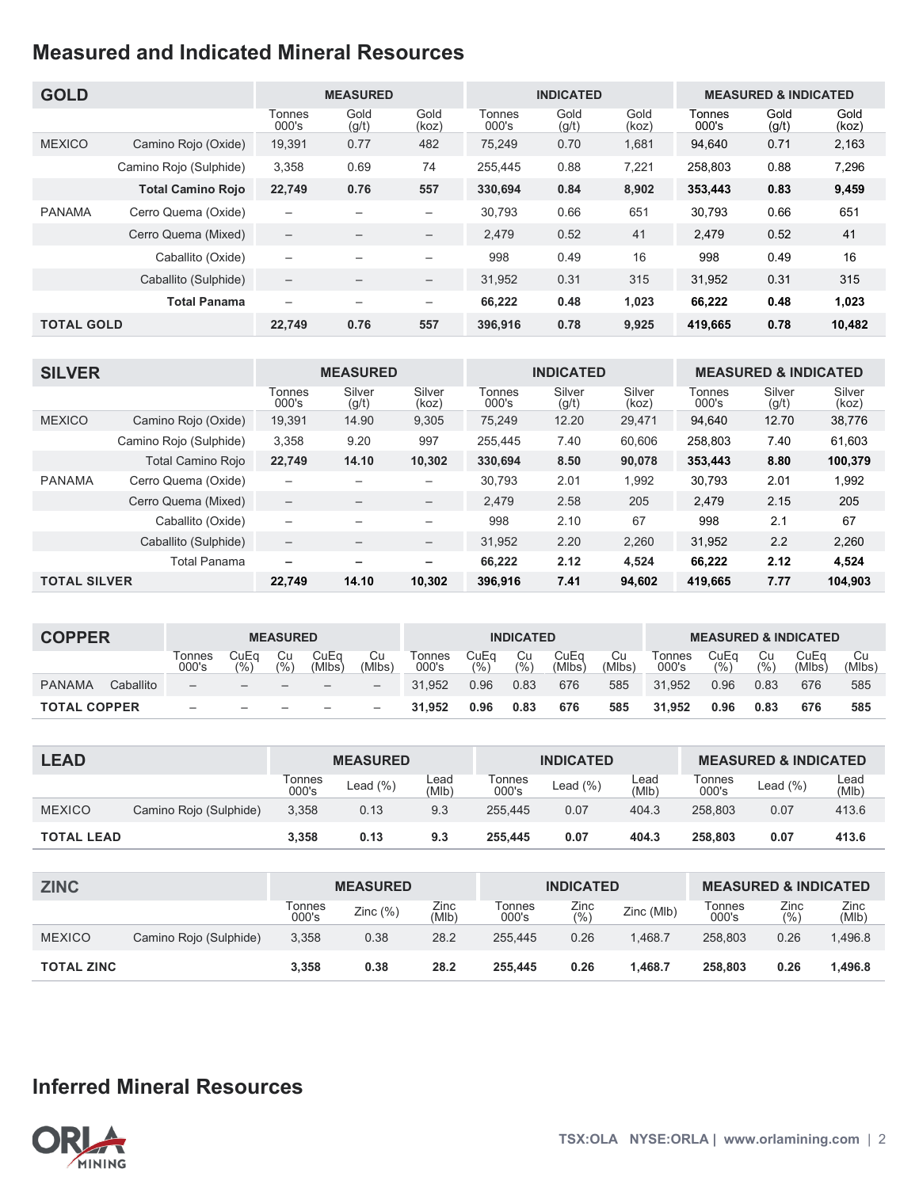### **Measured and Indicated Mineral Resources**

| <b>GOLD</b>       |                          | <b>MEASURED</b>                   |                          |                          |                 | <b>INDICATED</b> |               | <b>MEASURED &amp; INDICATED</b> |               |               |  |
|-------------------|--------------------------|-----------------------------------|--------------------------|--------------------------|-----------------|------------------|---------------|---------------------------------|---------------|---------------|--|
|                   |                          | Tonnes<br>000's                   | Gold<br>(q/t)            | Gold<br>(koz)            | Tonnes<br>000's | Gold<br>(q/t)    | Gold<br>(koz) | Tonnes<br>000's                 | Gold<br>(q/t) | Gold<br>(koz) |  |
| <b>MEXICO</b>     | Camino Rojo (Oxide)      | 19,391                            | 0.77                     | 482                      | 75,249          | 0.70             | 1,681         | 94,640                          | 0.71          | 2,163         |  |
|                   | Camino Rojo (Sulphide)   | 3,358                             | 0.69                     | 74                       | 255.445         | 0.88             | 7,221         | 258.803                         | 0.88          | 7,296         |  |
|                   | <b>Total Camino Rojo</b> | 22,749                            | 0.76                     | 557                      | 330,694         | 0.84             | 8,902         | 353,443                         | 0.83          | 9,459         |  |
| <b>PANAMA</b>     | Cerro Quema (Oxide)      | $\overline{\phantom{0}}$          |                          | $\overline{\phantom{0}}$ | 30,793          | 0.66             | 651           | 30,793                          | 0.66          | 651           |  |
|                   | Cerro Quema (Mixed)      | $\overline{\phantom{0}}$          | $\overline{\phantom{0}}$ | $\overline{\phantom{0}}$ | 2,479           | 0.52             | 41            | 2,479                           | 0.52          | 41            |  |
|                   | Caballito (Oxide)        | $\overbrace{\phantom{123221111}}$ |                          |                          | 998             | 0.49             | 16            | 998                             | 0.49          | 16            |  |
|                   | Caballito (Sulphide)     |                                   |                          | $\overline{\phantom{0}}$ | 31,952          | 0.31             | 315           | 31.952                          | 0.31          | 315           |  |
|                   | <b>Total Panama</b>      | $\overline{\phantom{0}}$          | $\overline{\phantom{m}}$ | $\qquad \qquad -$        | 66,222          | 0.48             | 1,023         | 66,222                          | 0.48          | 1,023         |  |
| <b>TOTAL GOLD</b> |                          | 22.749                            | 0.76                     | 557                      | 396,916         | 0.78             | 9,925         | 419.665                         | 0.78          | 10,482        |  |

| <b>SILVER</b>       |                        |                          | <b>MEASURED</b>          |                          |                 | <b>INDICATED</b> |                 | <b>MEASURED &amp; INDICATED</b> |                 |                 |  |
|---------------------|------------------------|--------------------------|--------------------------|--------------------------|-----------------|------------------|-----------------|---------------------------------|-----------------|-----------------|--|
|                     |                        | Tonnes<br>000's          | Silver<br>(g/t)          | Silver<br>(koz)          | Tonnes<br>000's | Silver<br>(g/t)  | Silver<br>(koz) | Tonnes<br>000's                 | Silver<br>(g/t) | Silver<br>(koz) |  |
| <b>MEXICO</b>       | Camino Rojo (Oxide)    | 19,391                   | 14.90                    | 9,305                    | 75,249          | 12.20            | 29,471          | 94.640                          | 12.70           | 38,776          |  |
|                     | Camino Rojo (Sulphide) | 3.358                    | 9.20                     | 997                      | 255.445         | 7.40             | 60.606          | 258.803                         | 7.40            | 61,603          |  |
|                     | Total Camino Rojo      | 22,749                   | 14.10                    | 10.302                   | 330,694         | 8.50             | 90,078          | 353,443                         | 8.80            | 100,379         |  |
| <b>PANAMA</b>       | Cerro Quema (Oxide)    |                          |                          | $\qquad \qquad$          | 30.793          | 2.01             | 1.992           | 30.793                          | 2.01            | 1,992           |  |
|                     | Cerro Quema (Mixed)    | $\overline{\phantom{m}}$ |                          | $\qquad \qquad -$        | 2,479           | 2.58             | 205             | 2,479                           | 2.15            | 205             |  |
|                     | Caballito (Oxide)      |                          |                          |                          | 998             | 2.10             | 67              | 998                             | 2.1             | 67              |  |
|                     | Caballito (Sulphide)   | $\qquad \qquad -$        |                          | $\overline{\phantom{m}}$ | 31,952          | 2.20             | 2.260           | 31.952                          | 2.2             | 2,260           |  |
|                     | <b>Total Panama</b>    | -                        | $\overline{\phantom{0}}$ | $\overline{\phantom{0}}$ | 66,222          | 2.12             | 4,524           | 66.222                          | 2.12            | 4,524           |  |
| <b>TOTAL SILVER</b> |                        | 22.749                   | 14.10                    | 10.302                   | 396,916         | 7.41             | 94,602          | 419,665                         | 7.77            | 104,903         |  |

| <b>COPPER</b>       |           | <b>MEASURED</b> |                          |            |               | <b>INDICATED</b> |                             |               |                     | <b>MEASURED &amp; INDICATED</b> |              |                 |              |                 |               |              |
|---------------------|-----------|-----------------|--------------------------|------------|---------------|------------------|-----------------------------|---------------|---------------------|---------------------------------|--------------|-----------------|--------------|-----------------|---------------|--------------|
|                     |           | onnes<br>000's  | CuEq<br>(%               | Cu<br>(% ) | CuEo<br>'Mlbs | Cu<br>(MIbs)     | <sup>-</sup> onnes<br>000's | SuEα<br>(9/6) | Cu<br>$(%^{6})^{6}$ | CuEa<br>(Mlbs)                  | Сu<br>(Mlbs) | Гоnnes<br>000's | CuEq<br>(% ) | Cu<br>$(%^{n})$ | CuEa<br>(Mlbs | Cu<br>(Mlbs) |
| <b>PANAMA</b>       | Caballito |                 | $\overline{\phantom{m}}$ | —          |               |                  | 31.952                      | 0.96          | 0.83                | 676                             | 585          | 31.952          | 0.96         | 0.83            | 676           | 585          |
| <b>TOTAL COPPER</b> |           |                 |                          |            |               |                  | 31.952                      | 0.96          | 0.83                | 676                             | 585          | 31.952          | 0.96         | 0.83            | 676           | 585          |

| <b>LEAD</b>       |                        | <b>MEASURED</b> |              |               |                 | <b>INDICATED</b> |               | <b>MEASURED &amp; INDICATED</b> |          |               |
|-------------------|------------------------|-----------------|--------------|---------------|-----------------|------------------|---------------|---------------------------------|----------|---------------|
|                   |                        | Tonnes<br>000's | Lead $(\% )$ | ∟ead<br>(MIb) | ⊺onnes<br>000's | Lead $(\% )$     | ∟ead<br>(MIb) | <b>Tonnes</b><br>000's          | Lead (%) | Lead<br>(MIb) |
| <b>MEXICO</b>     | Camino Rojo (Sulphide) | 3,358           | 0.13         | 9.3           | 255.445         | 0.07             | 404.3         | 258.803                         | 0.07     | 413.6         |
| <b>TOTAL LEAD</b> |                        | 3.358           | 0.13         | 9.3           | 255,445         | 0.07             | 404.3         | 258,803                         | 0.07     | 413.6         |

| <b>ZINC</b>       |                        | <b>MEASURED</b> |          |               |                 | <b>INDICATED</b>      |            | <b>MEASURED &amp; INDICATED</b> |              |               |
|-------------------|------------------------|-----------------|----------|---------------|-----------------|-----------------------|------------|---------------------------------|--------------|---------------|
|                   |                        | Tonnes<br>000's | Zinc (%) | Zinc<br>(MIb) | Tonnes<br>000's | Zinc<br>$(%^{6})^{6}$ | Zinc (Mlb) | Tonnes<br>000's                 | Zinc<br>(% ) | Zinc<br>(MIb) |
| <b>MEXICO</b>     | Camino Rojo (Sulphide) | 3,358           | 0.38     | 28.2          | 255.445         | 0.26                  | 1.468.7    | 258,803                         | 0.26         | 1,496.8       |
| <b>TOTAL ZINC</b> |                        | 3,358           | 0.38     | 28.2          | 255,445         | 0.26                  | 1.468.7    | 258.803                         | 0.26         | 1,496.8       |

## **Inferred Mineral Resources**

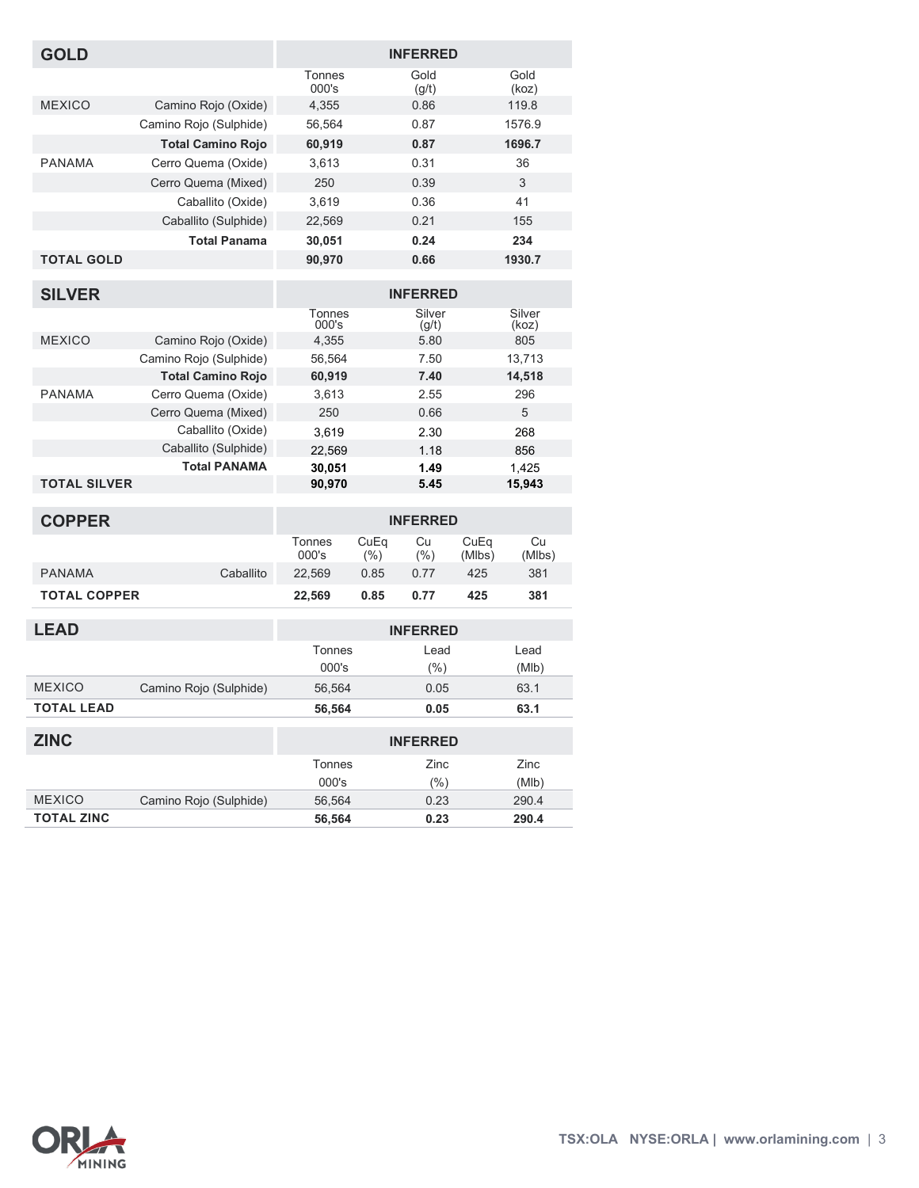| <b>GOLD</b>         |                          |                        |              | <b>INFERRED</b> |                |               |  |  |
|---------------------|--------------------------|------------------------|--------------|-----------------|----------------|---------------|--|--|
|                     |                          | Tonnes<br>000's        |              | Gold<br>(g/t)   |                | Gold<br>(koz) |  |  |
| <b>MEXICO</b>       | Camino Rojo (Oxide)      | 4,355                  |              | 0.86            |                | 119.8         |  |  |
|                     | Camino Rojo (Sulphide)   | 56,564                 |              | 0.87            |                | 1576.9        |  |  |
|                     | <b>Total Camino Rojo</b> | 60,919                 |              | 0.87            |                | 1696.7        |  |  |
| <b>PANAMA</b>       | Cerro Quema (Oxide)      | 3,613                  |              | 0.31            |                | 36            |  |  |
|                     | Cerro Quema (Mixed)      | 250                    |              | 0.39            |                | 3             |  |  |
|                     | Caballito (Oxide)        | 3,619                  |              | 0.36            |                | 41            |  |  |
|                     | Caballito (Sulphide)     | 22,569                 |              | 0.21            |                | 155           |  |  |
|                     | <b>Total Panama</b>      | 30,051                 |              | 0.24            |                | 234           |  |  |
| <b>TOTAL GOLD</b>   |                          | 90,970                 |              | 0.66            |                | 1930.7        |  |  |
| <b>SILVER</b>       |                          |                        |              | <b>INFERRED</b> |                |               |  |  |
|                     |                          | Tonnes                 |              | Silver          |                | Silver        |  |  |
| <b>MEXICO</b>       | Camino Rojo (Oxide)      | 000's<br>4,355         |              | (g/t)<br>5.80   |                | (koz)<br>805  |  |  |
|                     | Camino Rojo (Sulphide)   | 56,564                 |              | 7.50            |                | 13,713        |  |  |
|                     | <b>Total Camino Rojo</b> | 60,919                 |              | 7.40            |                | 14,518        |  |  |
| <b>PANAMA</b>       | Cerro Quema (Oxide)      | 3,613                  |              | 2.55            |                | 296           |  |  |
|                     | Cerro Quema (Mixed)      | 250                    |              | 0.66            |                | 5             |  |  |
|                     | Caballito (Oxide)        | 3,619                  |              | 2.30            |                | 268           |  |  |
|                     | Caballito (Sulphide)     | 22,569                 |              | 1.18            |                | 856           |  |  |
|                     | <b>Total PANAMA</b>      | 30,051                 |              | 1.49            |                | 1,425         |  |  |
| <b>TOTAL SILVER</b> |                          | 90,970                 |              | 5.45            |                | 15,943        |  |  |
| <b>COPPER</b>       |                          | <b>INFERRED</b>        |              |                 |                |               |  |  |
|                     |                          | <b>Tonnes</b><br>000's | CuEq<br>(% ) | Cu<br>$(\% )$   | CuEq<br>(Mlbs) | Cu<br>(MIbs)  |  |  |
| <b>PANAMA</b>       | Caballito                | 22,569                 | 0.85         | 0.77            | 425            | 381           |  |  |
| <b>TOTAL COPPER</b> |                          | 22,569                 | 0.85         | 0.77            | 425            | 381           |  |  |
| <b>LEAD</b>         |                          |                        |              | <b>INFERRED</b> |                |               |  |  |
|                     |                          | <b>Tonnes</b>          |              | Lead            |                | Lead          |  |  |
|                     |                          | 000's                  |              | (% )            |                | (Mlb)         |  |  |
| <b>MEXICO</b>       | Camino Rojo (Sulphide)   | 56,564                 |              | 0.05            |                | 63.1          |  |  |
| <b>TOTAL LEAD</b>   |                          | 56,564                 |              | 0.05            |                | 63.1          |  |  |
| <b>ZINC</b>         |                          |                        |              | <b>INFERRED</b> |                |               |  |  |
|                     |                          | Tonnes                 |              | Zinc            |                | Zinc          |  |  |
|                     |                          | 000's                  |              | (% )            |                | (Mlb)         |  |  |
| <b>MEXICO</b>       | Camino Rojo (Sulphide)   | 56,564                 |              | 0.23            |                | 290.4         |  |  |
| <b>TOTAL ZINC</b>   |                          | 56,564                 |              | 0.23            |                | 290.4         |  |  |